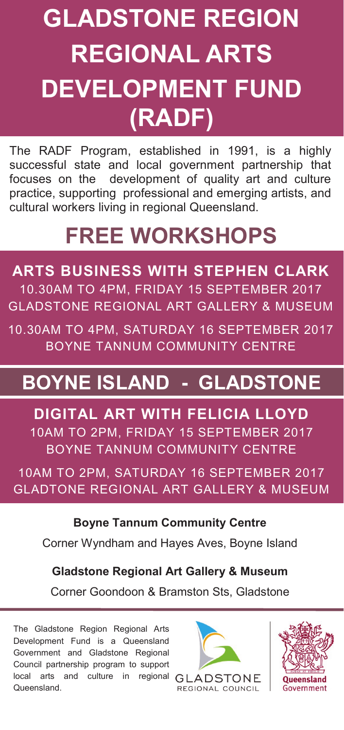# **GLADSTONE REGION REGIONAL ARTS DEVELOPMENT FUND (RADF)**

The RADF Program, established in 1991, is a highly successful state and local government partnership that focuses on the development of quality art and culture practice, supporting professional and emerging artists, and cultural workers living in regional Queensland.

## **FREE WORKSHOPS**

**ARTS BUSINESS WITH STEPHEN CLARK** 10.30AM TO 4PM, FRIDAY 15 SEPTEMBER 2017 GLADSTONE REGIONAL ART GALLERY & MUSEUM

10.30AM TO 4PM, SATURDAY 16 SEPTEMBER 2017 BOYNE TANNUM COMMUNITY CENTRE

### **BOYNE ISLAND - GLADSTONE**

**DIGITAL ART WITH FELICIA LLOYD** 10AM TO 2PM, FRIDAY 15 SEPTEMBER 2017 BOYNE TANNUM COMMUNITY CENTRE

10AM TO 2PM, SATURDAY 16 SEPTEMBER 2017 GLADTONE REGIONAL ART GALLERY & MUSEUM

**Boyne Tannum Community Centre**

Corner Wyndham and Hayes Aves, Boyne Island

**Gladstone Regional Art Gallery & Museum**

Corner Goondoon & Bramston Sts, Gladstone

The Gladstone Region Regional Arts Development Fund is a Queensland Government and Gladstone Regional Council partnership program to support local arts and culture in regional GLADSTONE Queensland